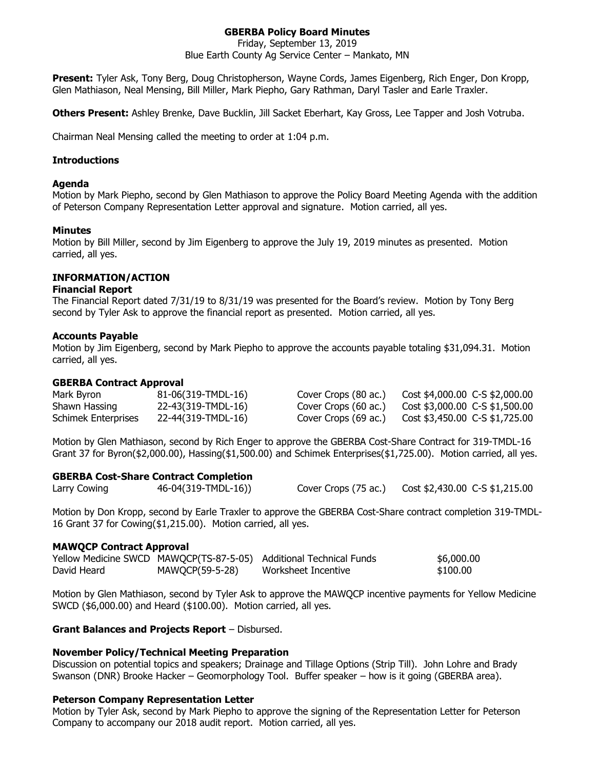# **GBERBA Policy Board Minutes**

Friday, September 13, 2019

Blue Earth County Ag Service Center – Mankato, MN

**Present:** Tyler Ask, Tony Berg, Doug Christopherson, Wayne Cords, James Eigenberg, Rich Enger, Don Kropp, Glen Mathiason, Neal Mensing, Bill Miller, Mark Piepho, Gary Rathman, Daryl Tasler and Earle Traxler.

**Others Present:** Ashley Brenke, Dave Bucklin, Jill Sacket Eberhart, Kay Gross, Lee Tapper and Josh Votruba.

Chairman Neal Mensing called the meeting to order at 1:04 p.m.

### **Introductions**

#### **Agenda**

Motion by Mark Piepho, second by Glen Mathiason to approve the Policy Board Meeting Agenda with the addition of Peterson Company Representation Letter approval and signature. Motion carried, all yes.

#### **Minutes**

Motion by Bill Miller, second by Jim Eigenberg to approve the July 19, 2019 minutes as presented. Motion carried, all yes.

### **INFORMATION/ACTION**

#### **Financial Report**

The Financial Report dated 7/31/19 to 8/31/19 was presented for the Board's review. Motion by Tony Berg second by Tyler Ask to approve the financial report as presented. Motion carried, all yes.

#### **Accounts Payable**

Motion by Jim Eigenberg, second by Mark Piepho to approve the accounts payable totaling \$31,094.31. Motion carried, all yes.

#### **GBERBA Contract Approval**

| Mark Byron          | 81-06(319-TMDL-16) | Cover Crops (80 ac.) | Cost \$4,000.00 C-S \$2,000.00 |
|---------------------|--------------------|----------------------|--------------------------------|
| Shawn Hassing       | 22-43(319-TMDL-16) | Cover Crops (60 ac.) | Cost \$3,000.00 C-S \$1,500.00 |
| Schimek Enterprises | 22-44(319-TMDL-16) | Cover Crops (69 ac.) | Cost \$3,450.00 C-S \$1,725.00 |

Motion by Glen Mathiason, second by Rich Enger to approve the GBERBA Cost-Share Contract for 319-TMDL-16 Grant 37 for Byron(\$2,000.00), Hassing(\$1,500.00) and Schimek Enterprises(\$1,725.00). Motion carried, all yes.

#### **GBERBA Cost-Share Contract Completion**

| Larry Cowing | 46-04(319-TMDL-16)) | Cover Crops (75 ac.) | Cost \$2,430.00 C-S \$1,215.00 |
|--------------|---------------------|----------------------|--------------------------------|

Motion by Don Kropp, second by Earle Traxler to approve the GBERBA Cost-Share contract completion 319-TMDL-16 Grant 37 for Cowing(\$1,215.00). Motion carried, all yes.

#### **MAWQCP Contract Approval**

|             |                 | Yellow Medicine SWCD MAWQCP(TS-87-5-05) Additional Technical Funds | \$6,000.00 |
|-------------|-----------------|--------------------------------------------------------------------|------------|
| David Heard | MAWQCP(59-5-28) | Worksheet Incentive                                                | \$100.00   |

Motion by Glen Mathiason, second by Tyler Ask to approve the MAWQCP incentive payments for Yellow Medicine SWCD (\$6,000.00) and Heard (\$100.00). Motion carried, all yes.

#### **Grant Balances and Projects Report** – Disbursed.

#### **November Policy/Technical Meeting Preparation**

Discussion on potential topics and speakers; Drainage and Tillage Options (Strip Till). John Lohre and Brady Swanson (DNR) Brooke Hacker – Geomorphology Tool. Buffer speaker – how is it going (GBERBA area).

#### **Peterson Company Representation Letter**

Motion by Tyler Ask, second by Mark Piepho to approve the signing of the Representation Letter for Peterson Company to accompany our 2018 audit report. Motion carried, all yes.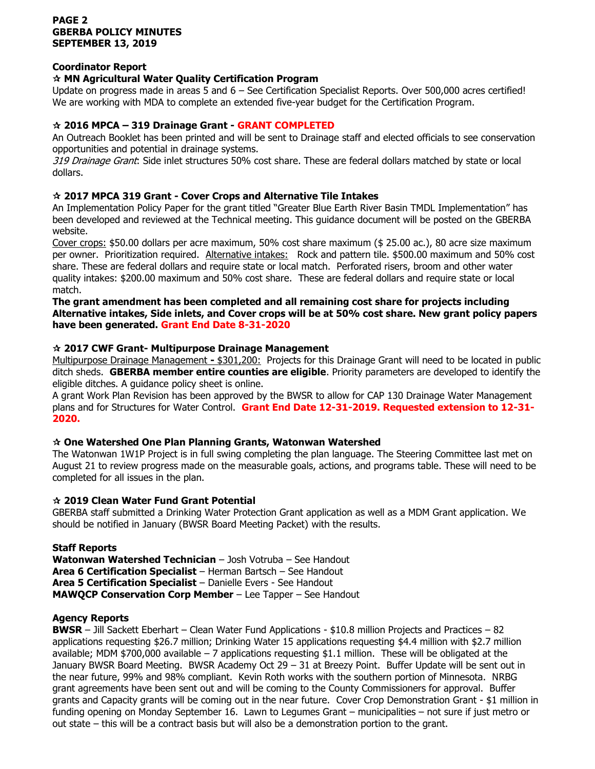### **PAGE 2 GBERBA POLICY MINUTES SEPTEMBER 13, 2019**

### **Coordinator Report**

### **MN Agricultural Water Quality Certification Program**

Update on progress made in areas 5 and 6 – See Certification Specialist Reports. Over 500,000 acres certified! We are working with MDA to complete an extended five-year budget for the Certification Program.

### **2016 MPCA – 319 Drainage Grant - GRANT COMPLETED**

An Outreach Booklet has been printed and will be sent to Drainage staff and elected officials to see conservation opportunities and potential in drainage systems.

319 Drainage Grant: Side inlet structures 50% cost share. These are federal dollars matched by state or local dollars.

### **2017 MPCA 319 Grant - Cover Crops and Alternative Tile Intakes**

An Implementation Policy Paper for the grant titled "Greater Blue Earth River Basin TMDL Implementation" has been developed and reviewed at the Technical meeting. This guidance document will be posted on the GBERBA website.

Cover crops: \$50.00 dollars per acre maximum, 50% cost share maximum (\$ 25.00 ac.), 80 acre size maximum per owner. Prioritization required. Alternative intakes: Rock and pattern tile. \$500.00 maximum and 50% cost share. These are federal dollars and require state or local match. Perforated risers, broom and other water quality intakes: \$200.00 maximum and 50% cost share. These are federal dollars and require state or local match.

**The grant amendment has been completed and all remaining cost share for projects including Alternative intakes, Side inlets, and Cover crops will be at 50% cost share. New grant policy papers have been generated. Grant End Date 8-31-2020**

## **2017 CWF Grant- Multipurpose Drainage Management**

Multipurpose Drainage Management **-** \$301,200: Projects for this Drainage Grant will need to be located in public ditch sheds. **GBERBA member entire counties are eligible**. Priority parameters are developed to identify the eligible ditches. A guidance policy sheet is online.

A grant Work Plan Revision has been approved by the BWSR to allow for CAP 130 Drainage Water Management plans and for Structures for Water Control. **Grant End Date 12-31-2019. Requested extension to 12-31- 2020.** 

### **One Watershed One Plan Planning Grants, Watonwan Watershed**

The Watonwan 1W1P Project is in full swing completing the plan language. The Steering Committee last met on August 21 to review progress made on the measurable goals, actions, and programs table. These will need to be completed for all issues in the plan.

### **2019 Clean Water Fund Grant Potential**

GBERBA staff submitted a Drinking Water Protection Grant application as well as a MDM Grant application. We should be notified in January (BWSR Board Meeting Packet) with the results.

# **Staff Reports**

**Watonwan Watershed Technician** – Josh Votruba – See Handout **Area 6 Certification Specialist** – Herman Bartsch – See Handout **Area 5 Certification Specialist** – Danielle Evers - See Handout **MAWQCP Conservation Corp Member** – Lee Tapper – See Handout

### **Agency Reports**

**BWSR** – Jill Sackett Eberhart – Clean Water Fund Applications - \$10.8 million Projects and Practices – 82 applications requesting \$26.7 million; Drinking Water 15 applications requesting \$4.4 million with \$2.7 million available; MDM \$700,000 available  $-7$  applications requesting \$1.1 million. These will be obligated at the January BWSR Board Meeting. BWSR Academy Oct 29 – 31 at Breezy Point. Buffer Update will be sent out in the near future, 99% and 98% compliant. Kevin Roth works with the southern portion of Minnesota. NRBG grant agreements have been sent out and will be coming to the County Commissioners for approval. Buffer grants and Capacity grants will be coming out in the near future. Cover Crop Demonstration Grant - \$1 million in funding opening on Monday September 16. Lawn to Legumes Grant – municipalities – not sure if just metro or out state – this will be a contract basis but will also be a demonstration portion to the grant.